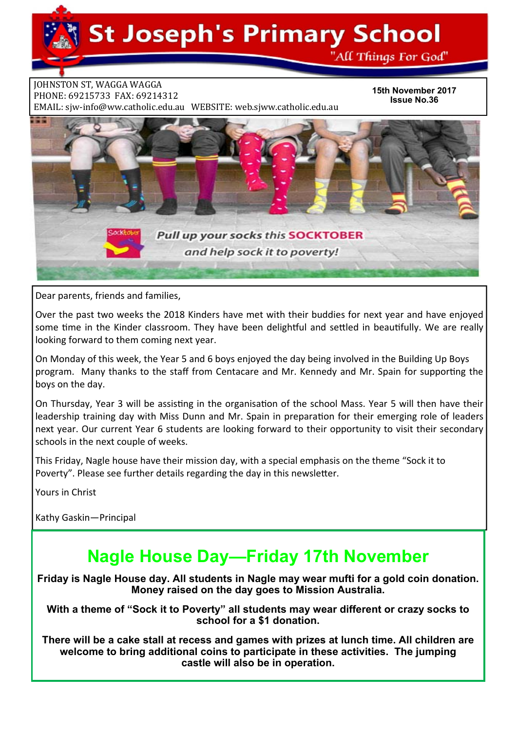

**JOHNSTON ST, WAGGA WAGGA** PHONE: 69215733 FAX: 69214312 EMAIL: sjw-info@ww.catholic.edu.au WEBSITE: web.sjww.catholic.edu.au

**15th November 2017 Issue No.36** 



Dear parents, friends and families,

Over the past two weeks the 2018 Kinders have met with their buddies for next year and have enjoyed some time in the Kinder classroom. They have been delightful and settled in beautifully. We are really looking forward to them coming next year.

On Monday of this week, the Year 5 and 6 boys enjoyed the day being involved in the Building Up Boys program. Many thanks to the staff from Centacare and Mr. Kennedy and Mr. Spain for supporting the boys on the day.

On Thursday, Year 3 will be assisting in the organisation of the school Mass. Year 5 will then have their leadership training day with Miss Dunn and Mr. Spain in preparation for their emerging role of leaders next year. Our current Year 6 students are looking forward to their opportunity to visit their secondary schools in the next couple of weeks.

This Friday, Nagle house have their mission day, with a special emphasis on the theme "Sock it to Poverty". Please see further details regarding the day in this newsletter.

Yours in Christ

Kathy Gaskin—Principal

# **Nagle House Day—Friday 17th November**

**Friday is Nagle House day. All students in Nagle may wear mufti for a gold coin donation. Money raised on the day goes to Mission Australia.**

**With a theme of "Sock it to Poverty" all students may wear different or crazy socks to school for a \$1 donation.**

**There will be a cake stall at recess and games with prizes at lunch time. All children are welcome to bring additional coins to participate in these activities. The jumping castle will also be in operation.**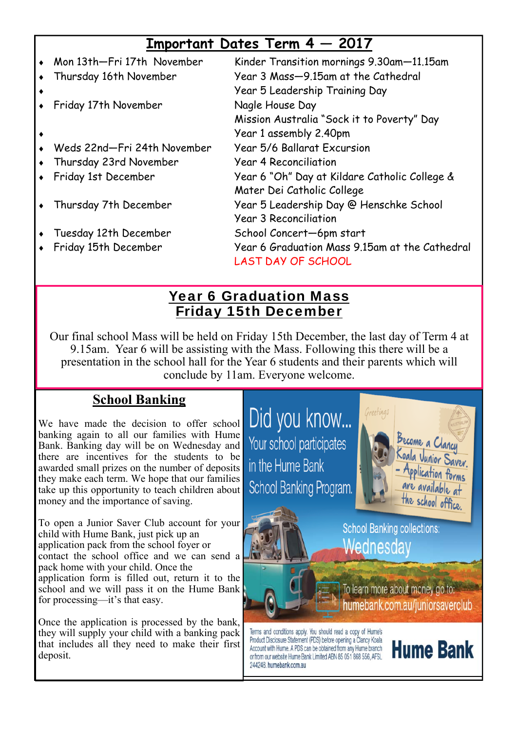# **Important Dates Term 4 — 2017**

|           | Mon 13th-Fri 17th November  | Kinder Transition mornings 9.30am-11.15am                                   |
|-----------|-----------------------------|-----------------------------------------------------------------------------|
|           | Thursday 16th November      | Year 3 Mass-9.15am at the Cathedral<br>Year 5 Leadership Training Day       |
| $\bullet$ | Friday 17th November        | Nagle House Day                                                             |
|           |                             | Mission Australia "Sock it to Poverty" Day                                  |
| ٠         |                             | Year 1 assembly 2.40pm                                                      |
|           | Weds 22nd-Fri 24th November | Year 5/6 Ballarat Excursion                                                 |
|           | Thursday 23rd November      | <b>Year 4 Reconciliation</b>                                                |
|           | • Friday 1st December       | Year 6 "Oh" Day at Kildare Catholic College &                               |
|           |                             | Mater Dei Catholic College                                                  |
|           | Thursday 7th December       | Year 5 Leadership Day @ Henschke School                                     |
|           |                             | <b>Year 3 Reconciliation</b>                                                |
|           | Tuesday 12th December       | School Concert-6pm start                                                    |
|           | Friday 15th December        | Year 6 Graduation Mass 9.15am at the Cathedral<br><b>LAST DAY OF SCHOOL</b> |

## Year 6 Graduation Mass Friday 15th December

Our final school Mass will be held on Friday 15th December, the last day of Term 4 at 9.15am. Year 6 will be assisting with the Mass. Following this there will be a presentation in the school hall for the Year 6 students and their parents which will conclude by 11am. Everyone welcome.

244248, humebank.com.au

## **School Banking**

We have made the decision to offer school banking again to all our families with Hume Bank. Banking day will be on Wednesday and there are incentives for the students to be awarded small prizes on the number of deposits they make each term. We hope that our families take up this opportunity to teach children about money and the importance of saving.

To open a Junior Saver Club account for your child with Hume Bank, just pick up an application pack from the school foyer or contact the school office and we can send a pack home with your child. Once the application form is filled out, return it to the school and we will pass it on the Hume Bank for processing—it's that easy.

Once the application is processed by the bank, they will supply your child with a banking pack that includes all they need to make their first deposit.

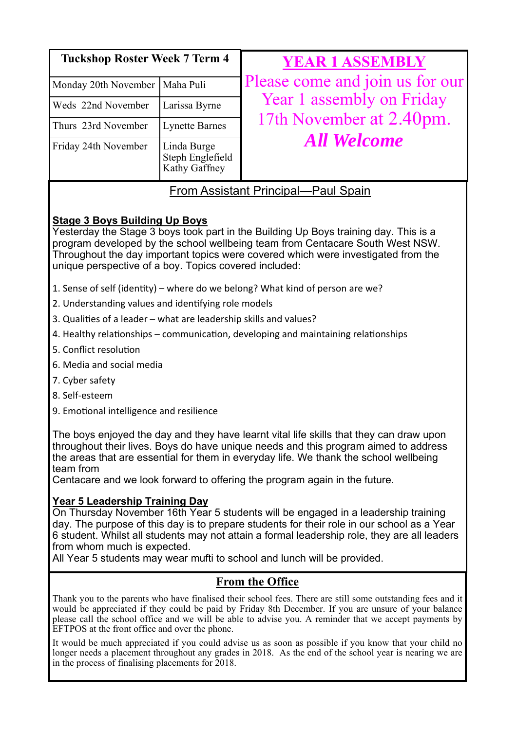| <b>Tuckshop Roster Week 7 Term 4</b>      |                                                  | <b>YEAR 1 ASSEMBLY</b>                                                      |
|-------------------------------------------|--------------------------------------------------|-----------------------------------------------------------------------------|
| Monday 20th November<br>Maha Puli         |                                                  | Please come and join us for our                                             |
| Weds 22nd November<br>Thurs 23rd November | Larissa Byrne                                    | Year 1 assembly on Friday<br>17th November at 2.40pm.<br><b>All Welcome</b> |
|                                           | <b>Lynette Barnes</b>                            |                                                                             |
| Friday 24th November                      | Linda Burge<br>Steph Englefield<br>Kathy Gaffney |                                                                             |

## From Assistant Principal—Paul Spain

## **Stage 3 Boys Building Up Boys**

Yesterday the Stage 3 boys took part in the Building Up Boys training day. This is a program developed by the school wellbeing team from Centacare South West NSW. Throughout the day important topics were covered which were investigated from the unique perspective of a boy. Topics covered included:

- 1. Sense of self (identity) where do we belong? What kind of person are we?
- 2. Understanding values and identifying role models
- 3. Qualities of a leader what are leadership skills and values?
- 4. Healthy relationships communication, developing and maintaining relationships
- 5. Conflict resolution
- 6. Media and social media
- 7. Cyber safety
- 8. Self‐esteem
- 9. Emotional intelligence and resilience

The boys enjoyed the day and they have learnt vital life skills that they can draw upon throughout their lives. Boys do have unique needs and this program aimed to address the areas that are essential for them in everyday life. We thank the school wellbeing team from

Centacare and we look forward to offering the program again in the future.

### **Year 5 Leadership Training Day**

On Thursday November 16th Year 5 students will be engaged in a leadership training day. The purpose of this day is to prepare students for their role in our school as a Year 6 student. Whilst all students may not attain a formal leadership role, they are all leaders from whom much is expected.

All Year 5 students may wear mufti to school and lunch will be provided.

## **From the Office**

Thank you to the parents who have finalised their school fees. There are still some outstanding fees and it would be appreciated if they could be paid by Friday 8th December. If you are unsure of your balance please call the school office and we will be able to advise you. A reminder that we accept payments by EFTPOS at the front office and over the phone.

It would be much appreciated if you could advise us as soon as possible if you know that your child no longer needs a placement throughout any grades in 2018. As the end of the school year is nearing we are in the process of finalising placements for 2018.